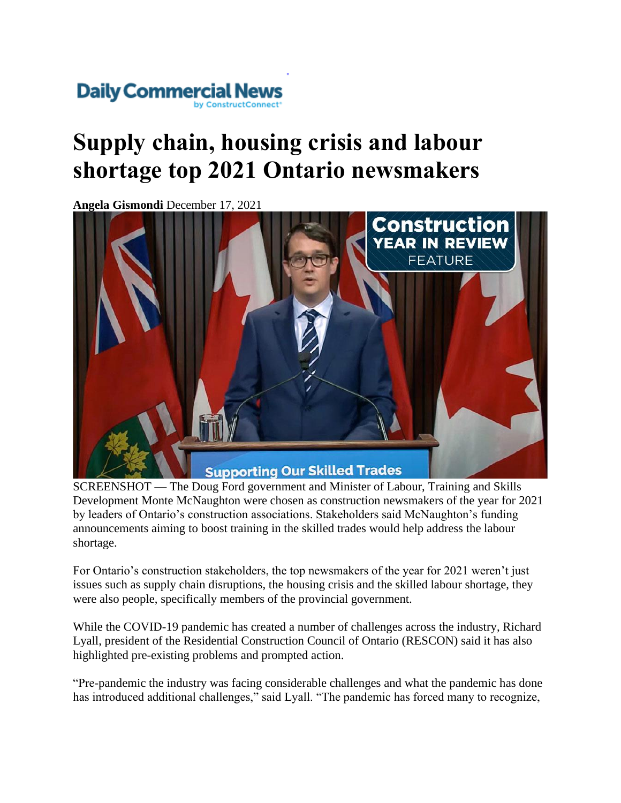## Daily Commercial N

## **Supply chain, housing crisis and labour shortage top 2021 Ontario newsmakers**

**Angela Gismondi** December 17, 2021



SCREENSHOT — The Doug Ford government and Minister of Labour, Training and Skills Development Monte McNaughton were chosen as construction newsmakers of the year for 2021 by leaders of Ontario's construction associations. Stakeholders said McNaughton's funding announcements aiming to boost training in the skilled trades would help address the labour shortage.

For Ontario's construction stakeholders, the top newsmakers of the year for 2021 weren't just issues such as supply chain disruptions, the housing crisis and the skilled labour shortage, they were also people, specifically members of the provincial government.

While the COVID-19 pandemic has created a number of challenges across the industry, Richard Lyall, president of the Residential Construction Council of Ontario (RESCON) said it has also highlighted pre-existing problems and prompted action.

"Pre-pandemic the industry was facing considerable challenges and what the pandemic has done has introduced additional challenges," said Lyall. "The pandemic has forced many to recognize,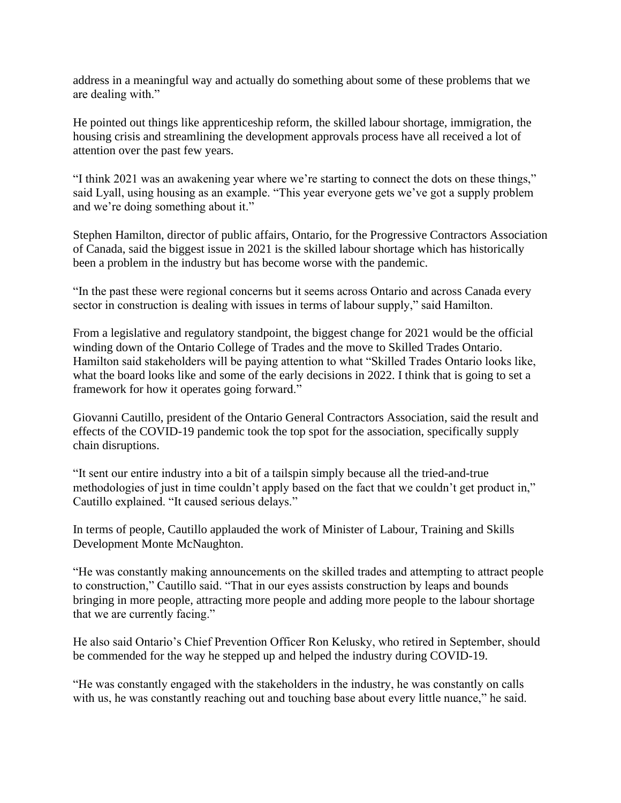address in a meaningful way and actually do something about some of these problems that we are dealing with."

He pointed out things like apprenticeship reform, the skilled labour shortage, immigration, the housing crisis and streamlining the development approvals process have all received a lot of attention over the past few years.

"I think 2021 was an awakening year where we're starting to connect the dots on these things," said Lyall, using housing as an example. "This year everyone gets we've got a supply problem and we're doing something about it."

Stephen Hamilton, director of public affairs, Ontario, for the Progressive Contractors Association of Canada, said the biggest issue in 2021 is the skilled labour shortage which has historically been a problem in the industry but has become worse with the pandemic.

"In the past these were regional concerns but it seems across Ontario and across Canada every sector in construction is dealing with issues in terms of labour supply," said Hamilton.

From a legislative and regulatory standpoint, the biggest change for 2021 would be the official winding down of the Ontario College of Trades and the move to Skilled Trades Ontario. Hamilton said stakeholders will be paying attention to what "Skilled Trades Ontario looks like, what the board looks like and some of the early decisions in 2022. I think that is going to set a framework for how it operates going forward."

Giovanni Cautillo, president of the Ontario General Contractors Association, said the result and effects of the COVID-19 pandemic took the top spot for the association, specifically supply chain disruptions.

"It sent our entire industry into a bit of a tailspin simply because all the tried-and-true methodologies of just in time couldn't apply based on the fact that we couldn't get product in," Cautillo explained. "It caused serious delays."

In terms of people, Cautillo applauded the work of Minister of Labour, Training and Skills Development Monte McNaughton.

"He was constantly making announcements on the skilled trades and attempting to attract people to construction," Cautillo said. "That in our eyes assists construction by leaps and bounds bringing in more people, attracting more people and adding more people to the labour shortage that we are currently facing."

He also said Ontario's Chief Prevention Officer Ron Kelusky, who retired in September, should be commended for the way he stepped up and helped the industry during COVID-19.

"He was constantly engaged with the stakeholders in the industry, he was constantly on calls with us, he was constantly reaching out and touching base about every little nuance," he said.